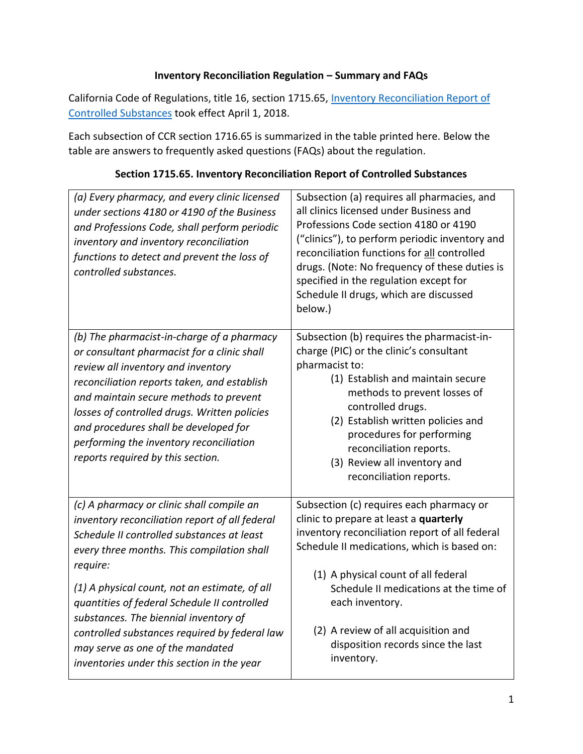#### **Inventory Reconciliation Regulation – Summary and FAQs**

California Code of Regulations, title 16, section 1715.65, Inventory Reconciliation Report of [Controlled Substances](https://govt.westlaw.com/calregs/Document/IC3DE00A90F624B67840C229126FF7937?originationContext=Search+Result&listSource=Search&viewType=FullText&navigationPath=Search%2fv3%2fsearch%2fresults%2fnavigation%2fi0ad720f200000163281774b94ddd40cc%3fstartIndex%3d1%26Nav%3dREGULATION_PUBLICVIEW%26contextData%3d(sc.Default)&rank=1&list=REGULATION_PUBLICVIEW&transitionType=SearchItem&contextData=(sc.Search)&t_T2=1715.65&t_S1=CA+ADC+s) took effect April 1, 2018.

 Each subsection of CCR section 1716.65 is summarized in the table printed here. Below the table are answers to frequently asked questions (FAQs) about the regulation.

| (a) Every pharmacy, and every clinic licensed<br>under sections 4180 or 4190 of the Business<br>and Professions Code, shall perform periodic<br>inventory and inventory reconciliation<br>functions to detect and prevent the loss of<br>controlled substances.                                                                                                                                   | Subsection (a) requires all pharmacies, and<br>all clinics licensed under Business and<br>Professions Code section 4180 or 4190<br>("clinics"), to perform periodic inventory and<br>reconciliation functions for all controlled<br>drugs. (Note: No frequency of these duties is<br>specified in the regulation except for<br>Schedule II drugs, which are discussed<br>below.) |
|---------------------------------------------------------------------------------------------------------------------------------------------------------------------------------------------------------------------------------------------------------------------------------------------------------------------------------------------------------------------------------------------------|----------------------------------------------------------------------------------------------------------------------------------------------------------------------------------------------------------------------------------------------------------------------------------------------------------------------------------------------------------------------------------|
| (b) The pharmacist-in-charge of a pharmacy<br>or consultant pharmacist for a clinic shall<br>review all inventory and inventory<br>reconciliation reports taken, and establish<br>and maintain secure methods to prevent<br>losses of controlled drugs. Written policies<br>and procedures shall be developed for<br>performing the inventory reconciliation<br>reports required by this section. | Subsection (b) requires the pharmacist-in-<br>charge (PIC) or the clinic's consultant<br>pharmacist to:<br>(1) Establish and maintain secure<br>methods to prevent losses of<br>controlled drugs.<br>(2) Establish written policies and<br>procedures for performing<br>reconciliation reports.<br>(3) Review all inventory and<br>reconciliation reports.                       |
| (c) A pharmacy or clinic shall compile an<br>inventory reconciliation report of all federal<br>Schedule II controlled substances at least<br>every three months. This compilation shall<br>require:                                                                                                                                                                                               | Subsection (c) requires each pharmacy or<br>clinic to prepare at least a quarterly<br>inventory reconciliation report of all federal<br>Schedule II medications, which is based on:<br>(1) A physical count of all federal                                                                                                                                                       |
| (1) A physical count, not an estimate, of all<br>quantities of federal Schedule II controlled<br>substances. The biennial inventory of<br>controlled substances required by federal law<br>may serve as one of the mandated<br>inventories under this section in the year                                                                                                                         | Schedule II medications at the time of<br>each inventory.<br>(2) A review of all acquisition and<br>disposition records since the last<br>inventory.                                                                                                                                                                                                                             |

#### **Section 1715.65. Inventory Reconciliation Report of Controlled Substances**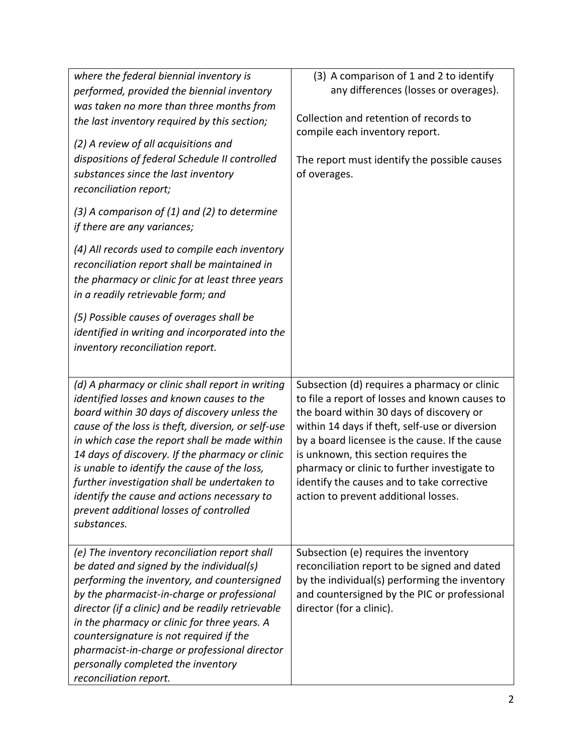| where the federal biennial inventory is<br>performed, provided the biennial inventory<br>was taken no more than three months from<br>the last inventory required by this section;<br>(2) A review of all acquisitions and<br>dispositions of federal Schedule II controlled<br>substances since the last inventory<br>reconciliation report;                                                                                                                                                                     | (3) A comparison of 1 and 2 to identify<br>any differences (losses or overages).<br>Collection and retention of records to<br>compile each inventory report.<br>The report must identify the possible causes<br>of overages.                                                                                                                                                                                                  |
|------------------------------------------------------------------------------------------------------------------------------------------------------------------------------------------------------------------------------------------------------------------------------------------------------------------------------------------------------------------------------------------------------------------------------------------------------------------------------------------------------------------|-------------------------------------------------------------------------------------------------------------------------------------------------------------------------------------------------------------------------------------------------------------------------------------------------------------------------------------------------------------------------------------------------------------------------------|
| $(3)$ A comparison of $(1)$ and $(2)$ to determine<br>if there are any variances;<br>(4) All records used to compile each inventory<br>reconciliation report shall be maintained in<br>the pharmacy or clinic for at least three years<br>in a readily retrievable form; and                                                                                                                                                                                                                                     |                                                                                                                                                                                                                                                                                                                                                                                                                               |
| (5) Possible causes of overages shall be<br>identified in writing and incorporated into the<br>inventory reconciliation report.                                                                                                                                                                                                                                                                                                                                                                                  |                                                                                                                                                                                                                                                                                                                                                                                                                               |
| (d) A pharmacy or clinic shall report in writing<br>identified losses and known causes to the<br>board within 30 days of discovery unless the<br>cause of the loss is theft, diversion, or self-use<br>in which case the report shall be made within<br>14 days of discovery. If the pharmacy or clinic<br>is unable to identify the cause of the loss,<br>further investigation shall be undertaken to<br>identify the cause and actions necessary to<br>prevent additional losses of controlled<br>substances. | Subsection (d) requires a pharmacy or clinic<br>to file a report of losses and known causes to<br>the board within 30 days of discovery or<br>within 14 days if theft, self-use or diversion<br>by a board licensee is the cause. If the cause<br>is unknown, this section requires the<br>pharmacy or clinic to further investigate to<br>identify the causes and to take corrective<br>action to prevent additional losses. |
| (e) The inventory reconciliation report shall<br>be dated and signed by the individual(s)<br>performing the inventory, and countersigned<br>by the pharmacist-in-charge or professional<br>director (if a clinic) and be readily retrievable<br>in the pharmacy or clinic for three years. A<br>countersignature is not required if the<br>pharmacist-in-charge or professional director<br>personally completed the inventory<br>reconciliation report.                                                         | Subsection (e) requires the inventory<br>reconciliation report to be signed and dated<br>by the individual(s) performing the inventory<br>and countersigned by the PIC or professional<br>director (for a clinic).                                                                                                                                                                                                            |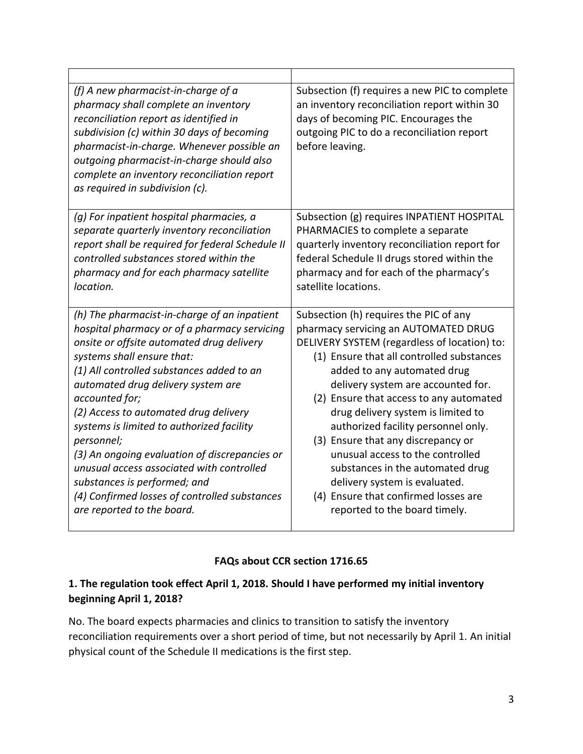| (f) A new pharmacist-in-charge of a<br>pharmacy shall complete an inventory<br>reconciliation report as identified in<br>subdivision (c) within 30 days of becoming<br>pharmacist-in-charge. Whenever possible an<br>outgoing pharmacist-in-charge should also<br>complete an inventory reconciliation report<br>as required in subdivision (c). | Subsection (f) requires a new PIC to complete<br>an inventory reconciliation report within 30<br>days of becoming PIC. Encourages the<br>outgoing PIC to do a reconciliation report<br>before leaving. |
|--------------------------------------------------------------------------------------------------------------------------------------------------------------------------------------------------------------------------------------------------------------------------------------------------------------------------------------------------|--------------------------------------------------------------------------------------------------------------------------------------------------------------------------------------------------------|
| (g) For inpatient hospital pharmacies, a                                                                                                                                                                                                                                                                                                         | Subsection (g) requires INPATIENT HOSPITAL                                                                                                                                                             |
| separate quarterly inventory reconciliation                                                                                                                                                                                                                                                                                                      | PHARMACIES to complete a separate                                                                                                                                                                      |
| report shall be required for federal Schedule II                                                                                                                                                                                                                                                                                                 | quarterly inventory reconciliation report for                                                                                                                                                          |
| controlled substances stored within the                                                                                                                                                                                                                                                                                                          | federal Schedule II drugs stored within the                                                                                                                                                            |
| pharmacy and for each pharmacy satellite                                                                                                                                                                                                                                                                                                         | pharmacy and for each of the pharmacy's                                                                                                                                                                |
| location.                                                                                                                                                                                                                                                                                                                                        | satellite locations.                                                                                                                                                                                   |
| (h) The pharmacist-in-charge of an inpatient                                                                                                                                                                                                                                                                                                     | Subsection (h) requires the PIC of any                                                                                                                                                                 |
| hospital pharmacy or of a pharmacy servicing                                                                                                                                                                                                                                                                                                     | pharmacy servicing an AUTOMATED DRUG                                                                                                                                                                   |
| onsite or offsite automated drug delivery                                                                                                                                                                                                                                                                                                        | DELIVERY SYSTEM (regardless of location) to:                                                                                                                                                           |
| systems shall ensure that:                                                                                                                                                                                                                                                                                                                       | (1) Ensure that all controlled substances                                                                                                                                                              |
| (1) All controlled substances added to an                                                                                                                                                                                                                                                                                                        | added to any automated drug                                                                                                                                                                            |
| automated drug delivery system are                                                                                                                                                                                                                                                                                                               | delivery system are accounted for.                                                                                                                                                                     |
| accounted for;                                                                                                                                                                                                                                                                                                                                   | (2) Ensure that access to any automated                                                                                                                                                                |
| (2) Access to automated drug delivery                                                                                                                                                                                                                                                                                                            | drug delivery system is limited to                                                                                                                                                                     |
| systems is limited to authorized facility                                                                                                                                                                                                                                                                                                        | authorized facility personnel only.                                                                                                                                                                    |
| personnel;                                                                                                                                                                                                                                                                                                                                       | (3) Ensure that any discrepancy or                                                                                                                                                                     |
| (3) An ongoing evaluation of discrepancies or                                                                                                                                                                                                                                                                                                    | unusual access to the controlled                                                                                                                                                                       |
| unusual access associated with controlled                                                                                                                                                                                                                                                                                                        | substances in the automated drug                                                                                                                                                                       |
| substances is performed; and                                                                                                                                                                                                                                                                                                                     | delivery system is evaluated.                                                                                                                                                                          |
| (4) Confirmed losses of controlled substances                                                                                                                                                                                                                                                                                                    | (4) Ensure that confirmed losses are                                                                                                                                                                   |
| are reported to the board.                                                                                                                                                                                                                                                                                                                       | reported to the board timely.                                                                                                                                                                          |

#### **FAQs about CCR section 1716.65**

#### **1. The regulation took effect April 1, 2018. Should I have performed my initial inventory beginning April 1, 2018?**

 reconciliation requirements over a short period of time, but not necessarily by April 1. An initial physical count of the Schedule II medications is the first step. No. The board expects pharmacies and clinics to transition to satisfy the inventory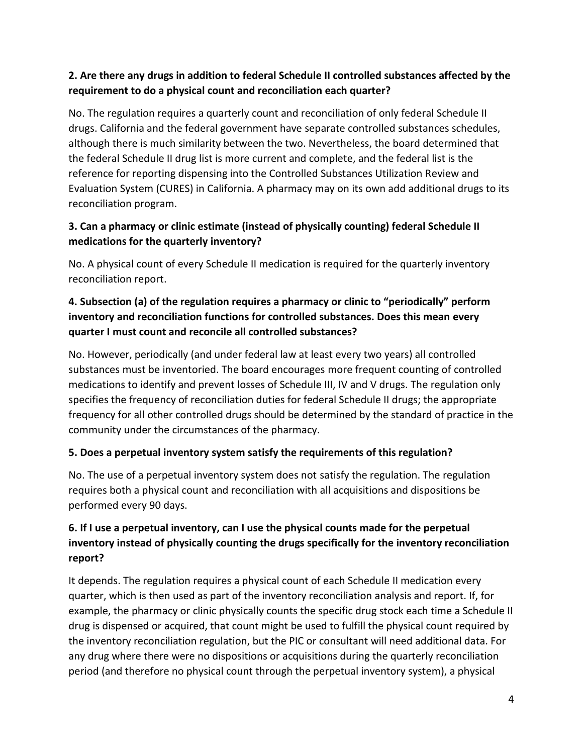# **2. Are there any drugs in addition to federal Schedule II controlled substances affected by the requirement to do a physical count and reconciliation each quarter?**

 No. The regulation requires a quarterly count and reconciliation of only federal Schedule II drugs. California and the federal government have separate controlled substances schedules, although there is much similarity between the two. Nevertheless, the board determined that the federal Schedule II drug list is more current and complete, and the federal list is the reference for reporting dispensing into the Controlled Substances Utilization Review and Evaluation System (CURES) in California. A pharmacy may on its own add additional drugs to its reconciliation program.

# **3. Can a pharmacy or clinic estimate (instead of physically counting) federal Schedule II medications for the quarterly inventory?**

 No. A physical count of every Schedule II medication is required for the quarterly inventory reconciliation report.

# **4. Subsection (a) of the regulation requires a pharmacy or clinic to "periodically" perform inventory and reconciliation functions for controlled substances. Does this mean every quarter I must count and reconcile all controlled substances?**

 No. However, periodically (and under federal law at least every two years) all controlled substances must be inventoried. The board encourages more frequent counting of controlled medications to identify and prevent losses of Schedule III, IV and V drugs. The regulation only specifies the frequency of reconciliation duties for federal Schedule II drugs; the appropriate frequency for all other controlled drugs should be determined by the standard of practice in the community under the circumstances of the pharmacy.

# **5. Does a perpetual inventory system satisfy the requirements of this regulation?**

 No. The use of a perpetual inventory system does not satisfy the regulation. The regulation requires both a physical count and reconciliation with all acquisitions and dispositions be performed every 90 days.

# **6. If I use a perpetual inventory, can I use the physical counts made for the perpetual inventory instead of physically counting the drugs specifically for the inventory reconciliation report?**

 It depends. The regulation requires a physical count of each Schedule II medication every quarter, which is then used as part of the inventory reconciliation analysis and report. If, for example, the pharmacy or clinic physically counts the specific drug stock each time a Schedule II drug is dispensed or acquired, that count might be used to fulfill the physical count required by the inventory reconciliation regulation, but the PIC or consultant will need additional data. For any drug where there were no dispositions or acquisitions during the quarterly reconciliation period (and therefore no physical count through the perpetual inventory system), a physical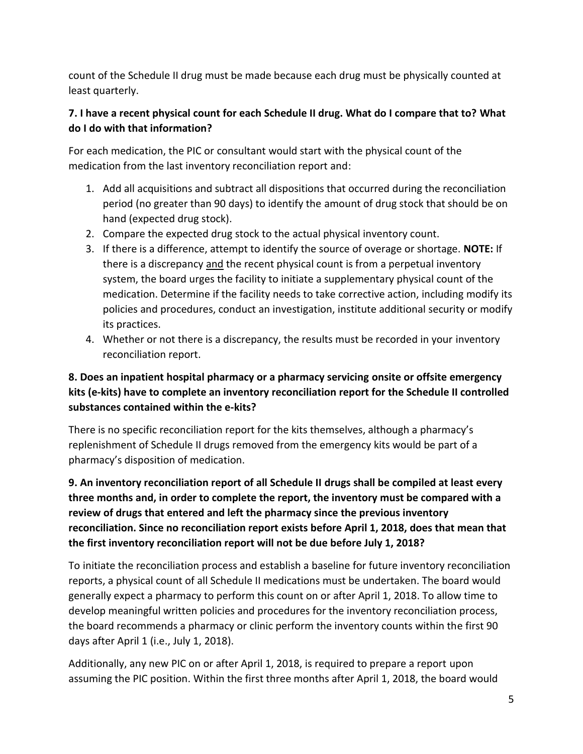count of the Schedule II drug must be made because each drug must be physically counted at least quarterly.

# **7. I have a recent physical count for each Schedule II drug. What do I compare that to? What do I do with that information?**

 For each medication, the PIC or consultant would start with the physical count of the medication from the last inventory reconciliation report and:

- 1. Add all acquisitions and subtract all dispositions that occurred during the reconciliation period (no greater than 90 days) to identify the amount of drug stock that should be on hand (expected drug stock).
- 2. Compare the expected drug stock to the actual physical inventory count.
- 3. If there is a difference, attempt to identify the source of overage or shortage. **NOTE:** If there is a discrepancy and the recent physical count is from a perpetual inventory system, the board urges the facility to initiate a supplementary physical count of the medication. Determine if the facility needs to take corrective action, including modify its policies and procedures, conduct an investigation, institute additional security or modify its practices.
- 4. Whether or not there is a discrepancy, the results must be recorded in your inventory reconciliation report.

# **8. Does an inpatient hospital pharmacy or a pharmacy servicing onsite or offsite emergency kits (e-kits) have to complete an inventory reconciliation report for the Schedule II controlled substances contained within the e-kits?**

 There is no specific reconciliation report for the kits themselves, although a pharmacy's replenishment of Schedule II drugs removed from the emergency kits would be part of a pharmacy's disposition of medication.

 **9. An inventory reconciliation report of all Schedule II drugs shall be compiled at least every three months and, in order to complete the report, the inventory must be compared with a review of drugs that entered and left the pharmacy since the previous inventory reconciliation. Since no reconciliation report exists before April 1, 2018, does that mean that the first inventory reconciliation report will not be due before July 1, 2018?** 

 To initiate the reconciliation process and establish a baseline for future inventory reconciliation reports, a physical count of all Schedule II medications must be undertaken. The board would generally expect a pharmacy to perform this count on or after April 1, 2018. To allow time to develop meaningful written policies and procedures for the inventory reconciliation process, the board recommends a pharmacy or clinic perform the inventory counts within the first 90 days after April 1 (i.e., July 1, 2018).

 Additionally, any new PIC on or after April 1, 2018, is required to prepare a report upon assuming the PIC position. Within the first three months after April 1, 2018, the board would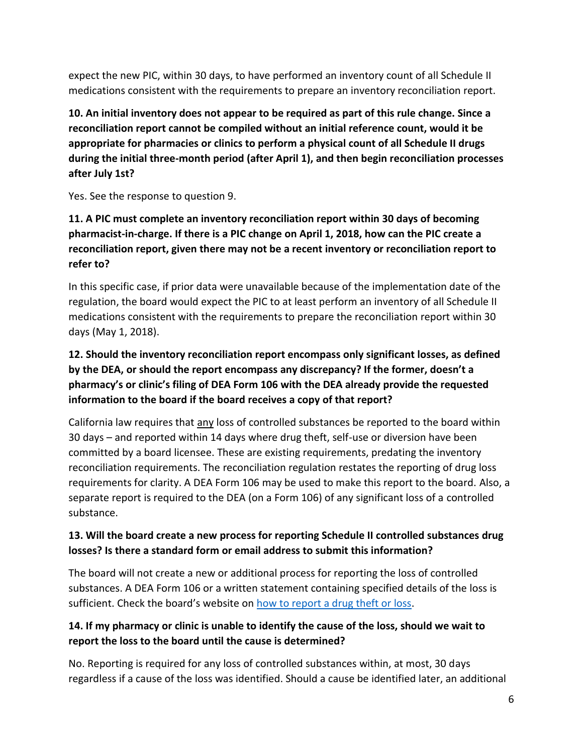expect the new PIC, within 30 days, to have performed an inventory count of all Schedule II medications consistent with the requirements to prepare an inventory reconciliation report.

 **10. An initial inventory does not appear to be required as part of this rule change. Since a reconciliation report cannot be compiled without an initial reference count, would it be appropriate for pharmacies or clinics to perform a physical count of all Schedule II drugs during the initial three-month period (after April 1), and then begin reconciliation processes after July 1st?** 

Yes. See the response to question 9.

# **11. A PIC must complete an inventory reconciliation report within 30 days of becoming pharmacist-in-charge. If there is a PIC change on April 1, 2018, how can the PIC create a reconciliation report, given there may not be a recent inventory or reconciliation report to refer to?**

 In this specific case, if prior data were unavailable because of the implementation date of the regulation, the board would expect the PIC to at least perform an inventory of all Schedule II medications consistent with the requirements to prepare the reconciliation report within 30 days (May 1, 2018).

# **12. Should the inventory reconciliation report encompass only significant losses, as defined by the DEA, or should the report encompass any discrepancy? If the former, doesn't a pharmacy's or clinic's filing of DEA Form 106 with the DEA already provide the requested information to the board if the board receives a copy of that report?**

California law requires that any loss of controlled substances be reported to the board within 30 days – and reported within 14 days where drug theft, self-use or diversion have been committed by a board licensee. These are existing requirements, predating the inventory reconciliation requirements. The reconciliation regulation restates the reporting of drug loss requirements for clarity. A DEA Form 106 may be used to make this report to the board. Also, a separate report is required to the DEA (on a Form 106) of any significant loss of a controlled substance.

# **13. Will the board create a new process for reporting Schedule II controlled substances drug losses? Is there a standard form or email address to submit this information?**

 The board will not create a new or additional process for reporting the loss of controlled substances. A DEA Form 106 or a written statement containing specified details of the loss is sufficient. Check the board's website on <u>how to report a drug theft or loss</u>.

## **14. If my pharmacy or clinic is unable to identify the cause of the loss, should we wait to report the loss to the board until the cause is determined?**

 No. Reporting is required for any loss of controlled substances within, at most, 30 days regardless if a cause of the loss was identified. Should a cause be identified later, an additional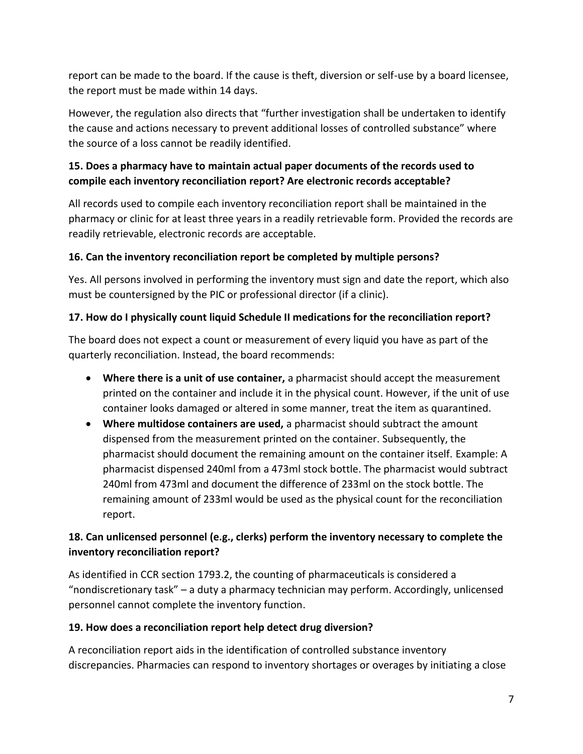report can be made to the board. If the cause is theft, diversion or self-use by a board licensee, the report must be made within 14 days.

 However, the regulation also directs that "further investigation shall be undertaken to identify the cause and actions necessary to prevent additional losses of controlled substance" where the source of a loss cannot be readily identified.

## **15. Does a pharmacy have to maintain actual paper documents of the records used to compile each inventory reconciliation report? Are electronic records acceptable?**

 All records used to compile each inventory reconciliation report shall be maintained in the pharmacy or clinic for at least three years in a readily retrievable form. Provided the records are readily retrievable, electronic records are acceptable.

#### **16. Can the inventory reconciliation report be completed by multiple persons?**

 Yes. All persons involved in performing the inventory must sign and date the report, which also must be countersigned by the PIC or professional director (if a clinic).

## **17. How do I physically count liquid Schedule II medications for the reconciliation report?**

 The board does not expect a count or measurement of every liquid you have as part of the quarterly reconciliation. Instead, the board recommends:

- **Where there is a unit of use container,** a pharmacist should accept the measurement printed on the container and include it in the physical count. However, if the unit of use container looks damaged or altered in some manner, treat the item as quarantined.
- • **Where multidose containers are used,** a pharmacist should subtract the amount dispensed from the measurement printed on the container. Subsequently, the pharmacist should document the remaining amount on the container itself. Example: A pharmacist dispensed 240ml from a 473ml stock bottle. The pharmacist would subtract 240ml from 473ml and document the difference of 233ml on the stock bottle. The remaining amount of 233ml would be used as the physical count for the reconciliation report.

## **18. Can unlicensed personnel (e.g., clerks) perform the inventory necessary to complete the inventory reconciliation report?**

 As identified in CCR section 1793.2, the counting of pharmaceuticals is considered a "nondiscretionary task" – a duty a pharmacy technician may perform. Accordingly, unlicensed personnel cannot complete the inventory function.

#### **19. How does a reconciliation report help detect drug diversion?**

 A reconciliation report aids in the identification of controlled substance inventory discrepancies. Pharmacies can respond to inventory shortages or overages by initiating a close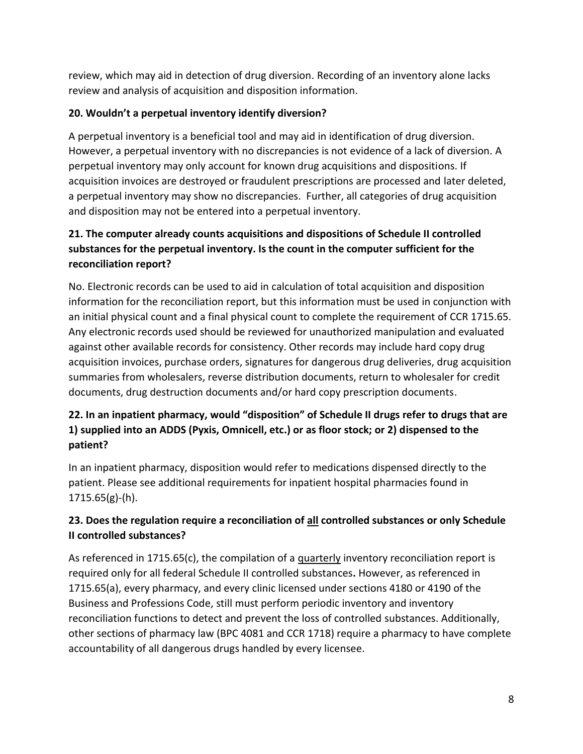review, which may aid in detection of drug diversion. Recording of an inventory alone lacks review and analysis of acquisition and disposition information.

#### **20. Wouldn't a perpetual inventory identify diversion?**

 A perpetual inventory is a beneficial tool and may aid in identification of drug diversion. However, a perpetual inventory with no discrepancies is not evidence of a lack of diversion. A perpetual inventory may only account for known drug acquisitions and dispositions. If acquisition invoices are destroyed or fraudulent prescriptions are processed and later deleted, a perpetual inventory may show no discrepancies. Further, all categories of drug acquisition and disposition may not be entered into a perpetual inventory.

# **21. The computer already counts acquisitions and dispositions of Schedule II controlled substances for the perpetual inventory. Is the count in the computer sufficient for the reconciliation report?**

 No. Electronic records can be used to aid in calculation of total acquisition and disposition information for the reconciliation report, but this information must be used in conjunction with an initial physical count and a final physical count to complete the requirement of CCR 1715.65. Any electronic records used should be reviewed for unauthorized manipulation and evaluated against other available records for consistency. Other records may include hard copy drug acquisition invoices, purchase orders, signatures for dangerous drug deliveries, drug acquisition summaries from wholesalers, reverse distribution documents, return to wholesaler for credit documents, drug destruction documents and/or hard copy prescription documents.

# **22. In an inpatient pharmacy, would "disposition" of Schedule II drugs refer to drugs that are 1) supplied into an ADDS (Pyxis, Omnicell, etc.) or as floor stock; or 2) dispensed to the patient?**

 In an inpatient pharmacy, disposition would refer to medications dispensed directly to the patient. Please see additional requirements for inpatient hospital pharmacies found in 1715.65(g)-(h).

## **23. Does the regulation require a reconciliation of all controlled substances or only Schedule II controlled substances?**

As referenced in 1715.65(c), the compilation of a **quarterly** inventory reconciliation report is required only for all federal Schedule II controlled substances**.** However, as referenced in 1715.65(a), every pharmacy, and every clinic licensed under sections 4180 or 4190 of the Business and Professions Code, still must perform periodic inventory and inventory reconciliation functions to detect and prevent the loss of controlled substances. Additionally, other sections of pharmacy law (BPC 4081 and CCR 1718) require a pharmacy to have complete accountability of all dangerous drugs handled by every licensee.